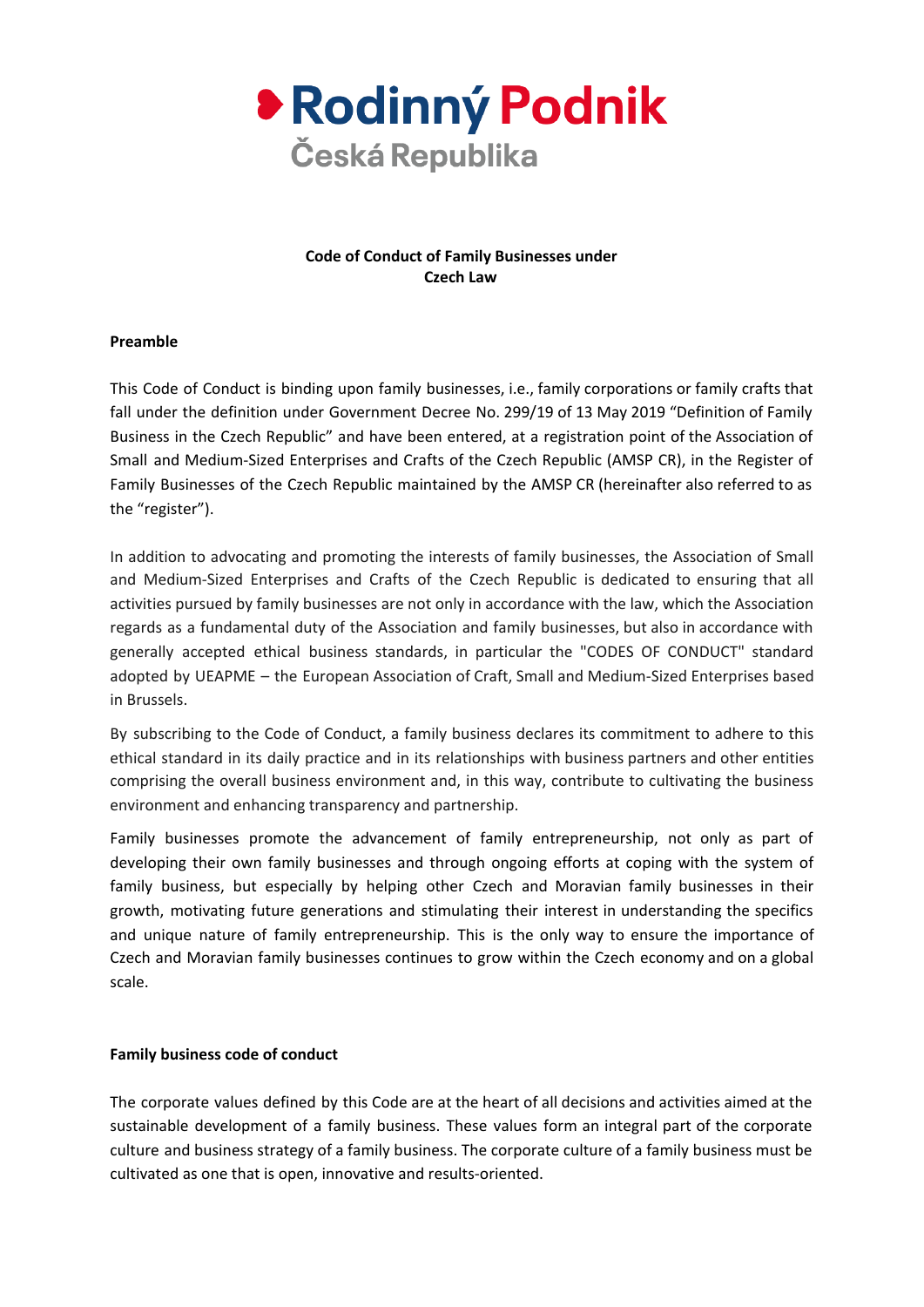

# **Code of Conduct of Family Businesses under Czech Law**

## **Preamble**

This Code of Conduct is binding upon family businesses, i.e., family corporations or family crafts that fall under the definition under Government Decree No. 299/19 of 13 May 2019 "Definition of Family Business in the Czech Republic" and have been entered, at a registration point of the Association of Small and Medium-Sized Enterprises and Crafts of the Czech Republic (AMSP CR), in the Register of Family Businesses of the Czech Republic maintained by the AMSP CR (hereinafter also referred to as the "register").

In addition to advocating and promoting the interests of family businesses, the Association of Small and Medium-Sized Enterprises and Crafts of the Czech Republic is dedicated to ensuring that all activities pursued by family businesses are not only in accordance with the law, which the Association regards as a fundamental duty of the Association and family businesses, but also in accordance with generally accepted ethical business standards, in particular the "CODES OF CONDUCT" standard adopted by UEAPME – the European Association of Craft, Small and Medium-Sized Enterprises based in Brussels.

By subscribing to the Code of Conduct, a family business declares its commitment to adhere to this ethical standard in its daily practice and in its relationships with business partners and other entities comprising the overall business environment and, in this way, contribute to cultivating the business environment and enhancing transparency and partnership.

Family businesses promote the advancement of family entrepreneurship, not only as part of developing their own family businesses and through ongoing efforts at coping with the system of family business, but especially by helping other Czech and Moravian family businesses in their growth, motivating future generations and stimulating their interest in understanding the specifics and unique nature of family entrepreneurship. This is the only way to ensure the importance of Czech and Moravian family businesses continues to grow within the Czech economy and on a global scale.

#### **Family business code of conduct**

The corporate values defined by this Code are at the heart of all decisions and activities aimed at the sustainable development of a family business. These values form an integral part of the corporate culture and business strategy of a family business. The corporate culture of a family business must be cultivated as one that is open, innovative and results-oriented.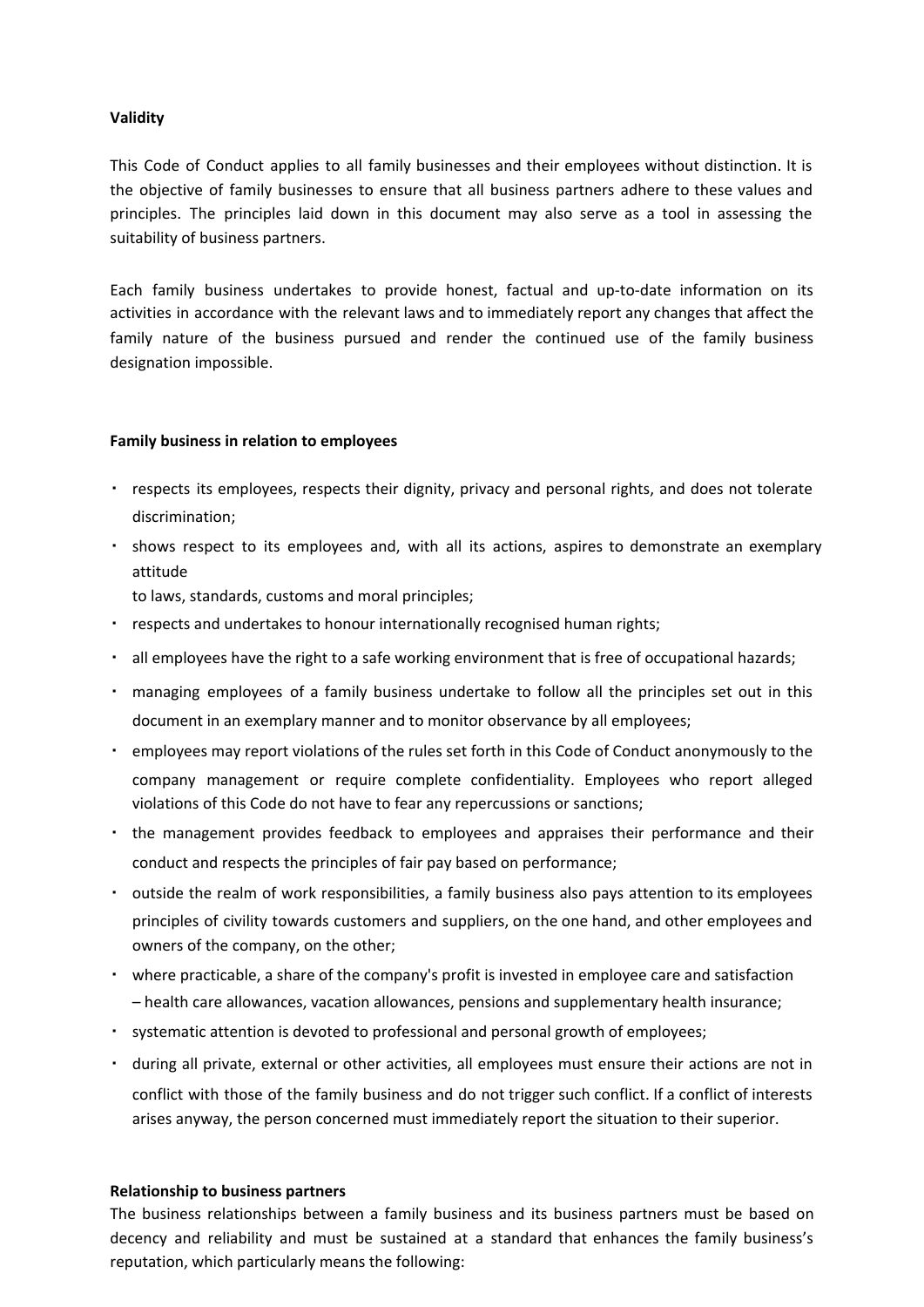### **Validity**

This Code of Conduct applies to all family businesses and their employees without distinction. It is the objective of family businesses to ensure that all business partners adhere to these values and principles. The principles laid down in this document may also serve as a tool in assessing the suitability of business partners.

Each family business undertakes to provide honest, factual and up-to-date information on its activities in accordance with the relevant laws and to immediately report any changes that affect the family nature of the business pursued and render the continued use of the family business designation impossible.

## **Family business in relation to employees**

- respects its employees, respects their dignity, privacy and personal rights, and does not tolerate discrimination;
- shows respect to its employees and, with all its actions, aspires to demonstrate an exemplary attitude

to laws, standards, customs and moral principles;

- respects and undertakes to honour internationally recognised human rights;
- all employees have the right to a safe working environment that is free of occupational hazards;
- managing employees of a family business undertake to follow all the principles set out in this document in an exemplary manner and to monitor observance by all employees;
- employees may report violations of the rules set forth in this Code of Conduct anonymously to the company management or require complete confidentiality. Employees who report alleged violations of this Code do not have to fear any repercussions or sanctions;
- the management provides feedback to employees and appraises their performance and their conduct and respects the principles of fair pay based on performance;
- outside the realm of work responsibilities, a family business also pays attention to its employees principles of civility towards customers and suppliers, on the one hand, and other employees and owners of the company, on the other;
- where practicable, a share of the company's profit is invested in employee care and satisfaction – health care allowances, vacation allowances, pensions and supplementary health insurance;
- systematic attention is devoted to professional and personal growth of employees;
- during all private, external or other activities, all employees must ensure their actions are not in conflict with those of the family business and do not trigger such conflict. If a conflict of interests arises anyway, the person concerned must immediately report the situation to their superior.

#### **Relationship to business partners**

The business relationships between a family business and its business partners must be based on decency and reliability and must be sustained at a standard that enhances the family business's reputation, which particularly means the following: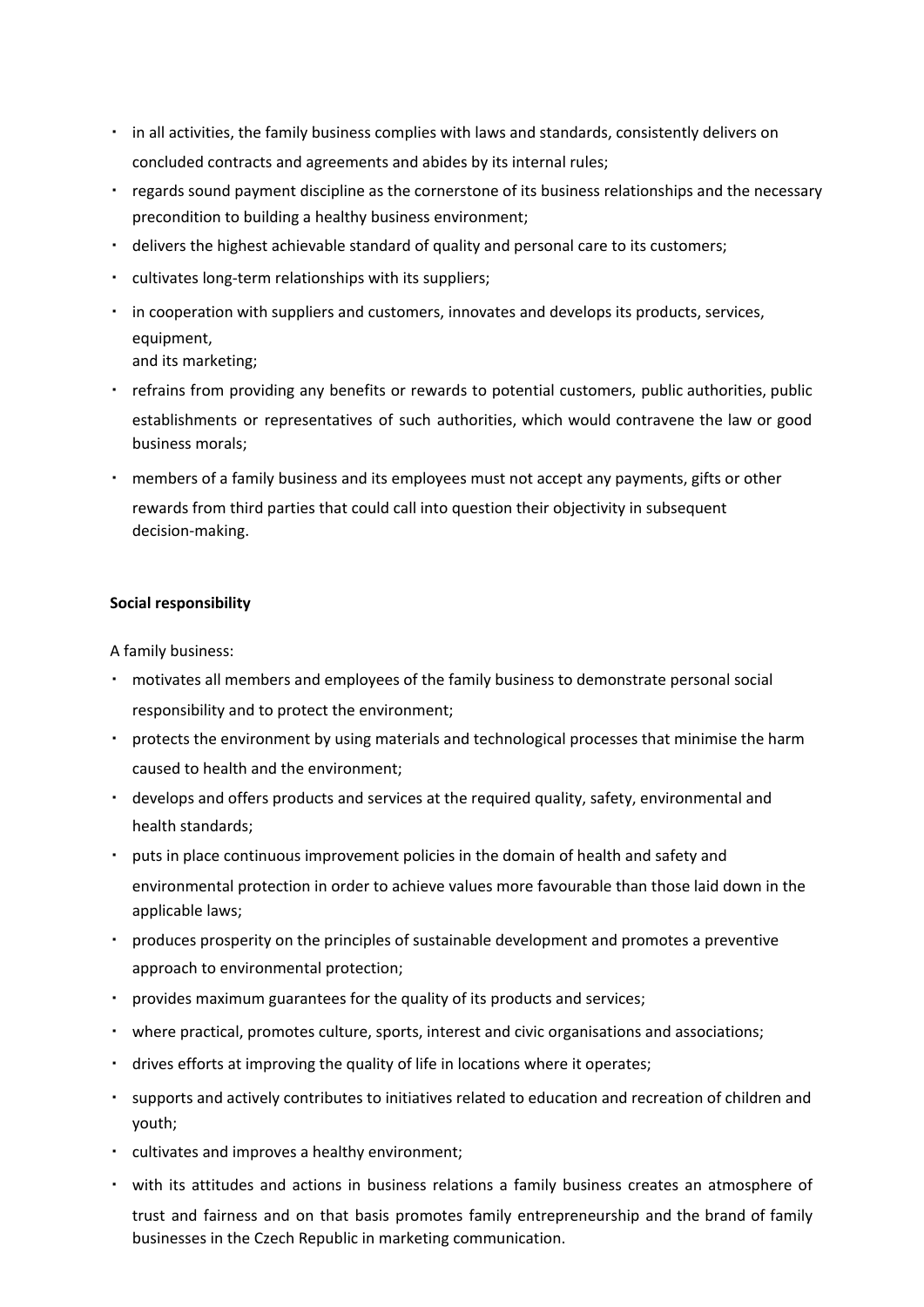- in all activities, the family business complies with laws and standards, consistently delivers on concluded contracts and agreements and abides by its internal rules;
- regards sound payment discipline as the cornerstone of its business relationships and the necessary precondition to building a healthy business environment;
- delivers the highest achievable standard of quality and personal care to its customers;
- cultivates long-term relationships with its suppliers;
- in cooperation with suppliers and customers, innovates and develops its products, services, equipment, and its marketing;
- refrains from providing any benefits or rewards to potential customers, public authorities, public establishments or representatives of such authorities, which would contravene the law or good business morals;
- members of a family business and its employees must not accept any payments, gifts or other rewards from third parties that could call into question their objectivity in subsequent decision-making.

#### **Social responsibility**

A family business:

- motivates all members and employees of the family business to demonstrate personal social responsibility and to protect the environment;
- protects the environment by using materials and technological processes that minimise the harm caused to health and the environment;
- develops and offers products and services at the required quality, safety, environmental and health standards;
- puts in place continuous improvement policies in the domain of health and safety and environmental protection in order to achieve values more favourable than those laid down in the applicable laws;
- produces prosperity on the principles of sustainable development and promotes a preventive approach to environmental protection;
- provides maximum guarantees for the quality of its products and services;
- where practical, promotes culture, sports, interest and civic organisations and associations;
- drives efforts at improving the quality of life in locations where it operates;
- supports and actively contributes to initiatives related to education and recreation of children and youth;
- cultivates and improves a healthy environment;
- with its attitudes and actions in business relations a family business creates an atmosphere of trust and fairness and on that basis promotes family entrepreneurship and the brand of family businesses in the Czech Republic in marketing communication.